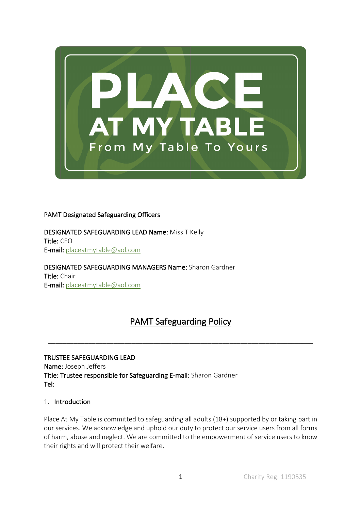

## PAMT Designated Safeguarding Officers

DESIGNATED SAFEGUARDING LEAD Name: Miss T Kelly Title: CEO E-mail: placeatmytable@aol.com

DESIGNATED SAFEGUARDING MANAGERS Name: Sharon Gardner Title: Chair E-mail: placeatmytable@aol.com

# PAMT Safeguarding Policy

\_\_\_\_\_\_\_\_\_\_\_\_\_\_\_\_\_\_\_\_\_\_\_\_\_\_\_\_\_\_\_\_\_\_\_\_\_\_\_\_\_\_\_\_\_\_\_\_\_\_\_\_\_\_\_\_\_\_\_\_\_\_\_\_\_\_\_\_\_\_\_\_\_

TRUSTEE SAFEGUARDING LEAD Name: Joseph Jeffers Title: Trustee responsible for Safeguarding E-mail: Sharon Gardner Tel:

#### 1. Introduction

Place At My Table is committed to safeguarding all adults (18+) supported by or taking part in our services. We acknowledge and uphold our duty to protect our service users from all forms of harm, abuse and neglect. We are committed to the empowerment of service users to know their rights and will protect their welfare.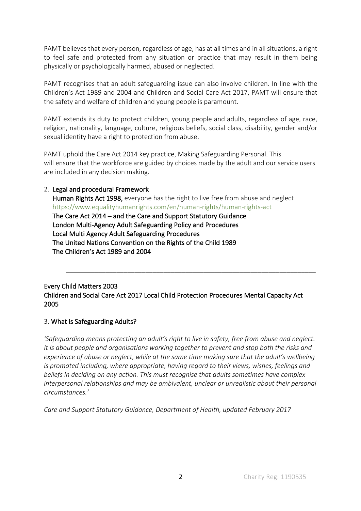PAMT believes that every person, regardless of age, has at all times and in all situations, a right to feel safe and protected from any situation or practice that may result in them being physically or psychologically harmed, abused or neglected.

PAMT recognises that an adult safeguarding issue can also involve children. In line with the Children's Act 1989 and 2004 and Children and Social Care Act 2017, PAMT will ensure that the safety and welfare of children and young people is paramount.

PAMT extends its duty to protect children, young people and adults, regardless of age, race, religion, nationality, language, culture, religious beliefs, social class, disability, gender and/or sexual identity have a right to protection from abuse.

PAMT uphold the Care Act 2014 key practice, Making Safeguarding Personal. This will ensure that the workforce are guided by choices made by the adult and our service users are included in any decision making.

#### 2. Legal and procedural Framework

Human Rights Act 1998, everyone has the right to live free from abuse and neglect https://www.equalityhumanrights.com/en/human-rights/human-rights-act The Care Act 2014 – and the Care and Support Statutory Guidance London Multi-Agency Adult Safeguarding Policy and Procedures Local Multi Agency Adult Safeguarding Procedures The United Nations Convention on the Rights of the Child 1989 The Children's Act 1989 and 2004

Every Child Matters 2003 Children and Social Care Act 2017 Local Child Protection Procedures Mental Capacity Act 2005

\_\_\_\_\_\_\_\_\_\_\_\_\_\_\_\_\_\_\_\_\_\_\_\_\_\_\_\_\_\_\_\_\_\_\_\_\_\_\_\_\_\_\_\_\_\_\_\_\_\_\_\_\_\_\_\_\_\_\_\_\_\_\_\_\_\_\_\_\_

## 3. What is Safeguarding Adults?

*'Safeguarding means protecting an adult's right to live in safety, free from abuse and neglect. It is about people and organisations working together to prevent and stop both the risks and experience of abuse or neglect, while at the same time making sure that the adult's wellbeing is promoted including, where appropriate, having regard to their views, wishes, feelings and beliefs in deciding on any action. This must recognise that adults sometimes have complex interpersonal relationships and may be ambivalent, unclear or unrealistic about their personal circumstances.'* 

*Care and Support Statutory Guidance, Department of Health, updated February 2017*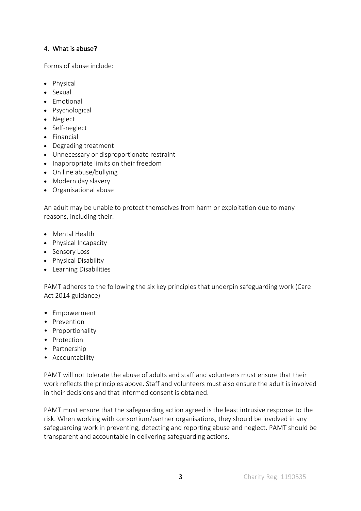#### 4. What is abuse?

Forms of abuse include:

- Physical
- Sexual
- Emotional
- Psychological
- Neglect
- Self-neglect
- Financial
- Degrading treatment
- Unnecessary or disproportionate restraint
- Inappropriate limits on their freedom
- On line abuse/bullying
- Modern day slavery
- Organisational abuse

An adult may be unable to protect themselves from harm or exploitation due to many reasons, including their:

- Mental Health
- Physical Incapacity
- Sensory Loss
- Physical Disability
- Learning Disabilities

PAMT adheres to the following the six key principles that underpin safeguarding work (Care Act 2014 guidance)

- Empowerment
- Prevention
- Proportionality
- Protection
- Partnership
- Accountability

PAMT will not tolerate the abuse of adults and staff and volunteers must ensure that their work reflects the principles above. Staff and volunteers must also ensure the adult is involved in their decisions and that informed consent is obtained.

PAMT must ensure that the safeguarding action agreed is the least intrusive response to the risk. When working with consortium/partner organisations, they should be involved in any safeguarding work in preventing, detecting and reporting abuse and neglect. PAMT should be transparent and accountable in delivering safeguarding actions.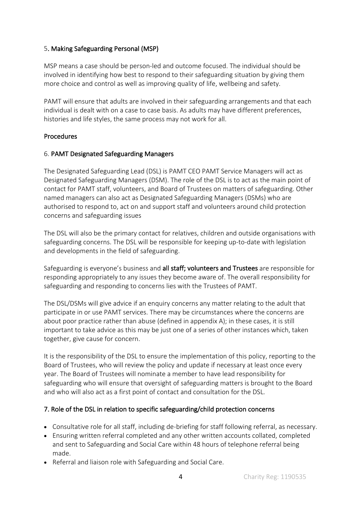# 5. Making Safeguarding Personal (MSP)

MSP means a case should be person-led and outcome focused. The individual should be involved in identifying how best to respond to their safeguarding situation by giving them more choice and control as well as improving quality of life, wellbeing and safety.

PAMT will ensure that adults are involved in their safeguarding arrangements and that each individual is dealt with on a case to case basis. As adults may have different preferences, histories and life styles, the same process may not work for all.

## Procedures

## 6. PAMT Designated Safeguarding Managers

The Designated Safeguarding Lead (DSL) is PAMT CEO PAMT Service Managers will act as Designated Safeguarding Managers (DSM). The role of the DSL is to act as the main point of contact for PAMT staff, volunteers, and Board of Trustees on matters of safeguarding. Other named managers can also act as Designated Safeguarding Managers (DSMs) who are authorised to respond to, act on and support staff and volunteers around child protection concerns and safeguarding issues

The DSL will also be the primary contact for relatives, children and outside organisations with safeguarding concerns. The DSL will be responsible for keeping up-to-date with legislation and developments in the field of safeguarding.

Safeguarding is everyone's business and all staff; volunteers and Trustees are responsible for responding appropriately to any issues they become aware of. The overall responsibility for safeguarding and responding to concerns lies with the Trustees of PAMT.

The DSL/DSMs will give advice if an enquiry concerns any matter relating to the adult that participate in or use PAMT services. There may be circumstances where the concerns are about poor practice rather than abuse (defined in appendix A); in these cases, it is still important to take advice as this may be just one of a series of other instances which, taken together, give cause for concern.

It is the responsibility of the DSL to ensure the implementation of this policy, reporting to the Board of Trustees, who will review the policy and update if necessary at least once every year. The Board of Trustees will nominate a member to have lead responsibility for safeguarding who will ensure that oversight of safeguarding matters is brought to the Board and who will also act as a first point of contact and consultation for the DSL.

# 7. Role of the DSL in relation to specific safeguarding/child protection concerns

- Consultative role for all staff, including de-briefing for staff following referral, as necessary.
- Ensuring written referral completed and any other written accounts collated, completed and sent to Safeguarding and Social Care within 48 hours of telephone referral being made.
- Referral and liaison role with Safeguarding and Social Care.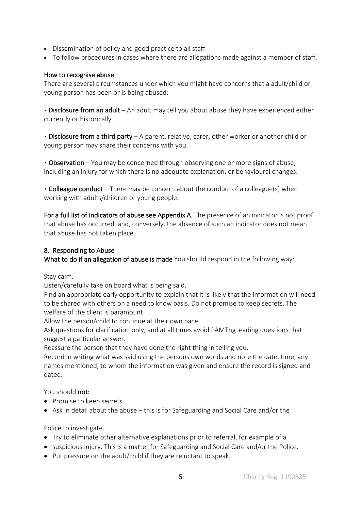- Dissemination of policy and good practice to all staff.
- To follow procedures in cases where there are allegations made against a member of staff.

#### How to recognise abuse.

There are several circumstances under which you might have concerns that a adult/child or young person has been or is being abused:

▪ Disclosure from an adult – An adult may tell you about abuse they have experienced either currently or historically.

▪ Disclosure from a third party – A parent, relative, carer, other worker or another child or young person may share their concerns with you.

▪ Observation – You may be concerned through observing one or more signs of abuse, including an injury for which there is no adequate explanation, or behavioural changes.

• Colleague conduct – There may be concern about the conduct of a colleague(s) when working with adults/children or young people.

For a full list of indicators of abuse see Appendix A. The presence of an indicator is not proof that abuse has occurred, and, conversely, the absence of such an indicator does not mean that abuse has not taken place.

## 8. Responding to Abuse

What to do if an allegation of abuse is made You should respond in the following way:

Stay calm.

Listen/carefully take on board what is being said.

Find an appropriate early opportunity to explain that it is likely that the information will need to be shared with others on a need to know basis. Do not promise to keep secrets. The welfare of the client is paramount.

Allow the person/child to continue at their own pace.

Ask questions for clarification only, and at all times avoid PAMTng leading questions that suggest a particular answer.

Reassure the person that they have done the right thing in telling you.

Record in writing what was said using the persons own words and note the date, time, any names mentioned, to whom the information was given and ensure the record is signed and dated.

You should not:

- Promise to keep secrets.
- Ask in detail about the abuse this is for Safeguarding and Social Care and/or the

Police to investigate.

- Try to eliminate other alternative explanations prior to referral, for example of a
- suspicious injury. This is a matter for Safeguarding and Social Care and/or the Police.
- Put pressure on the adult/child if they are reluctant to speak.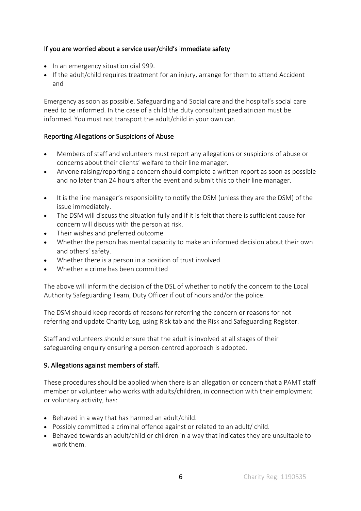# If you are worried about a service user/child's immediate safety

- In an emergency situation dial 999.
- If the adult/child requires treatment for an injury, arrange for them to attend Accident and

Emergency as soon as possible. Safeguarding and Social care and the hospital's social care need to be informed. In the case of a child the duty consultant paediatrician must be informed. You must not transport the adult/child in your own car.

# Reporting Allegations or Suspicions of Abuse

- Members of staff and volunteers must report any allegations or suspicions of abuse or concerns about their clients' welfare to their line manager.
- Anyone raising/reporting a concern should complete a written report as soon as possible and no later than 24 hours after the event and submit this to their line manager.
- It is the line manager's responsibility to notify the DSM (unless they are the DSM) of the issue immediately.
- The DSM will discuss the situation fully and if it is felt that there is sufficient cause for concern will discuss with the person at risk.
- Their wishes and preferred outcome
- Whether the person has mental capacity to make an informed decision about their own and others' safety.
- Whether there is a person in a position of trust involved
- Whether a crime has been committed

The above will inform the decision of the DSL of whether to notify the concern to the Local Authority Safeguarding Team, Duty Officer if out of hours and/or the police.

The DSM should keep records of reasons for referring the concern or reasons for not referring and update Charity Log, using Risk tab and the Risk and Safeguarding Register.

Staff and volunteers should ensure that the adult is involved at all stages of their safeguarding enquiry ensuring a person-centred approach is adopted.

## 9. Allegations against members of staff.

These procedures should be applied when there is an allegation or concern that a PAMT staff member or volunteer who works with adults/children, in connection with their employment or voluntary activity, has:

- Behaved in a way that has harmed an adult/child.
- Possibly committed a criminal offence against or related to an adult/ child.
- Behaved towards an adult/child or children in a way that indicates they are unsuitable to work them.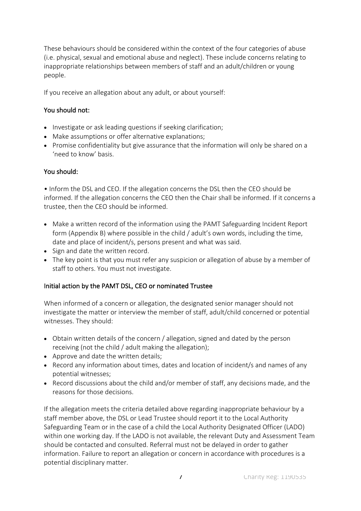These behaviours should be considered within the context of the four categories of abuse (i.e. physical, sexual and emotional abuse and neglect). These include concerns relating to inappropriate relationships between members of staff and an adult/children or young people.

If you receive an allegation about any adult, or about yourself:

# You should not:

- Investigate or ask leading questions if seeking clarification;
- Make assumptions or offer alternative explanations;
- Promise confidentiality but give assurance that the information will only be shared on a 'need to know' basis.

# You should:

• Inform the DSL and CEO. If the allegation concerns the DSL then the CEO should be informed. If the allegation concerns the CEO then the Chair shall be informed. If it concerns a trustee, then the CEO should be informed.

- Make a written record of the information using the PAMT Safeguarding Incident Report form (Appendix B) where possible in the child / adult's own words, including the time, date and place of incident/s, persons present and what was said.
- Sign and date the written record.
- The key point is that you must refer any suspicion or allegation of abuse by a member of staff to others. You must not investigate.

# Initial action by the PAMT DSL, CEO or nominated Trustee

When informed of a concern or allegation, the designated senior manager should not investigate the matter or interview the member of staff, adult/child concerned or potential witnesses. They should:

- Obtain written details of the concern / allegation, signed and dated by the person receiving (not the child / adult making the allegation);
- Approve and date the written details;
- Record any information about times, dates and location of incident/s and names of any potential witnesses;
- Record discussions about the child and/or member of staff, any decisions made, and the reasons for those decisions.

If the allegation meets the criteria detailed above regarding inappropriate behaviour by a staff member above, the DSL or Lead Trustee should report it to the Local Authority Safeguarding Team or in the case of a child the Local Authority Designated Officer (LADO) within one working day. If the LADO is not available, the relevant Duty and Assessment Team should be contacted and consulted. Referral must not be delayed in order to gather information. Failure to report an allegation or concern in accordance with procedures is a potential disciplinary matter.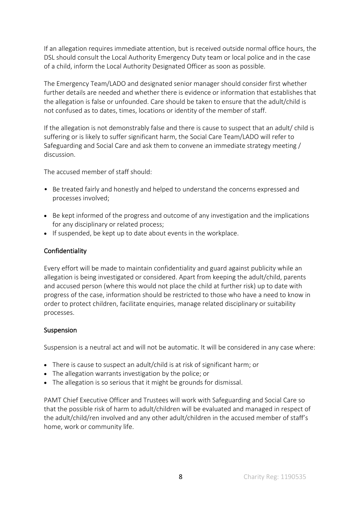If an allegation requires immediate attention, but is received outside normal office hours, the DSL should consult the Local Authority Emergency Duty team or local police and in the case of a child, inform the Local Authority Designated Officer as soon as possible.

The Emergency Team/LADO and designated senior manager should consider first whether further details are needed and whether there is evidence or information that establishes that the allegation is false or unfounded. Care should be taken to ensure that the adult/child is not confused as to dates, times, locations or identity of the member of staff.

If the allegation is not demonstrably false and there is cause to suspect that an adult/ child is suffering or is likely to suffer significant harm, the Social Care Team/LADO will refer to Safeguarding and Social Care and ask them to convene an immediate strategy meeting / discussion.

The accused member of staff should:

- Be treated fairly and honestly and helped to understand the concerns expressed and processes involved;
- Be kept informed of the progress and outcome of any investigation and the implications for any disciplinary or related process;
- If suspended, be kept up to date about events in the workplace.

## Confidentiality

Every effort will be made to maintain confidentiality and guard against publicity while an allegation is being investigated or considered. Apart from keeping the adult/child, parents and accused person (where this would not place the child at further risk) up to date with progress of the case, information should be restricted to those who have a need to know in order to protect children, facilitate enquiries, manage related disciplinary or suitability processes.

## **Suspension**

Suspension is a neutral act and will not be automatic. It will be considered in any case where:

- There is cause to suspect an adult/child is at risk of significant harm; or
- The allegation warrants investigation by the police; or
- The allegation is so serious that it might be grounds for dismissal.

PAMT Chief Executive Officer and Trustees will work with Safeguarding and Social Care so that the possible risk of harm to adult/children will be evaluated and managed in respect of the adult/child/ren involved and any other adult/children in the accused member of staff's home, work or community life.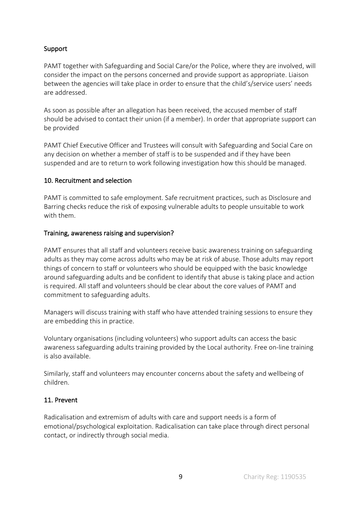## Support

PAMT together with Safeguarding and Social Care/or the Police, where they are involved, will consider the impact on the persons concerned and provide support as appropriate. Liaison between the agencies will take place in order to ensure that the child's/service users' needs are addressed.

As soon as possible after an allegation has been received, the accused member of staff should be advised to contact their union (if a member). In order that appropriate support can be provided

PAMT Chief Executive Officer and Trustees will consult with Safeguarding and Social Care on any decision on whether a member of staff is to be suspended and if they have been suspended and are to return to work following investigation how this should be managed.

## 10. Recruitment and selection

PAMT is committed to safe employment. Safe recruitment practices, such as Disclosure and Barring checks reduce the risk of exposing vulnerable adults to people unsuitable to work with them.

## Training, awareness raising and supervision?

PAMT ensures that all staff and volunteers receive basic awareness training on safeguarding adults as they may come across adults who may be at risk of abuse. Those adults may report things of concern to staff or volunteers who should be equipped with the basic knowledge around safeguarding adults and be confident to identify that abuse is taking place and action is required. All staff and volunteers should be clear about the core values of PAMT and commitment to safeguarding adults.

Managers will discuss training with staff who have attended training sessions to ensure they are embedding this in practice.

Voluntary organisations (including volunteers) who support adults can access the basic awareness safeguarding adults training provided by the Local authority. Free on-line training is also available.

Similarly, staff and volunteers may encounter concerns about the safety and wellbeing of children.

## 11. Prevent

Radicalisation and extremism of adults with care and support needs is a form of emotional/psychological exploitation. Radicalisation can take place through direct personal contact, or indirectly through social media.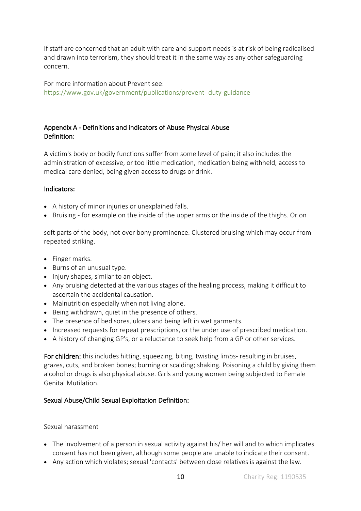If staff are concerned that an adult with care and support needs is at risk of being radicalised and drawn into terrorism, they should treat it in the same way as any other safeguarding concern.

For more information about Prevent see: https://www.gov.uk/government/publications/prevent- duty-guidance

## Appendix A - Definitions and indicators of Abuse Physical Abuse Definition:

A victim's body or bodily functions suffer from some level of pain; it also includes the administration of excessive, or too little medication, medication being withheld, access to medical care denied, being given access to drugs or drink.

#### Indicators:

- A history of minor injuries or unexplained falls.
- Bruising for example on the inside of the upper arms or the inside of the thighs. Or on

soft parts of the body, not over bony prominence. Clustered bruising which may occur from repeated striking.

- Finger marks.
- Burns of an unusual type.
- Injury shapes, similar to an object.
- Any bruising detected at the various stages of the healing process, making it difficult to ascertain the accidental causation.
- Malnutrition especially when not living alone.
- Being withdrawn, quiet in the presence of others.
- The presence of bed sores, ulcers and being left in wet garments.
- Increased requests for repeat prescriptions, or the under use of prescribed medication.
- A history of changing GP's, or a reluctance to seek help from a GP or other services.

For children: this includes hitting, squeezing, biting, twisting limbs- resulting in bruises, grazes, cuts, and broken bones; burning or scalding; shaking. Poisoning a child by giving them alcohol or drugs is also physical abuse. Girls and young women being subjected to Female Genital Mutilation.

## Sexual Abuse/Child Sexual Exploitation Definition:

#### Sexual harassment

- The involvement of a person in sexual activity against his/ her will and to which implicates consent has not been given, although some people are unable to indicate their consent.
- Any action which violates; sexual 'contacts' between close relatives is against the law.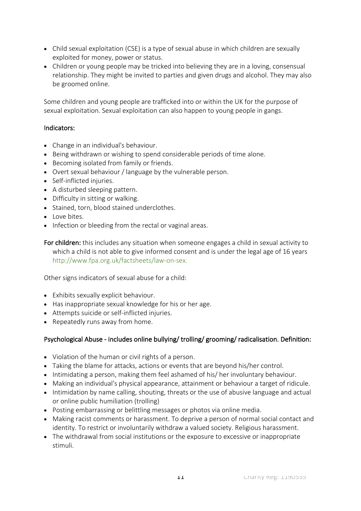- Child sexual exploitation (CSE) is a type of sexual abuse in which children are sexually exploited for money, power or status.
- Children or young people may be tricked into believing they are in a loving, consensual relationship. They might be invited to parties and given drugs and alcohol. They may also be groomed online.

Some children and young people are trafficked into or within the UK for the purpose of sexual exploitation. Sexual exploitation can also happen to young people in gangs.

#### Indicators:

- Change in an individual's behaviour.
- Being withdrawn or wishing to spend considerable periods of time alone.
- Becoming isolated from family or friends.
- Overt sexual behaviour / language by the vulnerable person.
- Self-inflicted injuries.
- A disturbed sleeping pattern.
- Difficulty in sitting or walking.
- Stained, torn, blood stained underclothes.
- Love bites.
- Infection or bleeding from the rectal or vaginal areas.

For children: this includes any situation when someone engages a child in sexual activity to which a child is not able to give informed consent and is under the legal age of 16 years http://www.fpa.org.uk/factsheets/law-on-sex.

Other signs indicators of sexual abuse for a child:

- Exhibits sexually explicit behaviour.
- Has inappropriate sexual knowledge for his or her age.
- Attempts suicide or self-inflicted injuries.
- Repeatedly runs away from home.

## Psychological Abuse - includes online bullying/ trolling/ grooming/ radicalisation. Definition:

- Violation of the human or civil rights of a person.
- Taking the blame for attacks, actions or events that are beyond his/her control.
- Intimidating a person, making them feel ashamed of his/ her involuntary behaviour.
- Making an individual's physical appearance, attainment or behaviour a target of ridicule.
- Intimidation by name calling, shouting, threats or the use of abusive language and actual or online public humiliation (trolling)
- Posting embarrassing or belittling messages or photos via online media.
- Making racist comments or harassment. To deprive a person of normal social contact and identity. To restrict or involuntarily withdraw a valued society. Religious harassment.
- The withdrawal from social institutions or the exposure to excessive or inappropriate stimuli.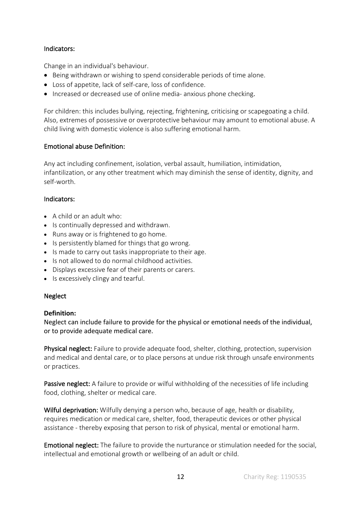## Indicators:

Change in an individual's behaviour.

- Being withdrawn or wishing to spend considerable periods of time alone.
- Loss of appetite, lack of self-care, loss of confidence.
- Increased or decreased use of online media- anxious phone checking.

For children: this includes bullying, rejecting, frightening, criticising or scapegoating a child. Also, extremes of possessive or overprotective behaviour may amount to emotional abuse. A child living with domestic violence is also suffering emotional harm.

## Emotional abuse Definition:

Any act including confinement, isolation, verbal assault, humiliation, intimidation, infantilization, or any other treatment which may diminish the sense of identity, dignity, and self-worth.

#### Indicators:

- A child or an adult who:
- Is continually depressed and withdrawn.
- Runs away or is frightened to go home.
- Is persistently blamed for things that go wrong.
- Is made to carry out tasks inappropriate to their age.
- Is not allowed to do normal childhood activities.
- Displays excessive fear of their parents or carers.
- Is excessively clingy and tearful.

#### **Neglect**

#### **Definition:**

Neglect can include failure to provide for the physical or emotional needs of the individual, or to provide adequate medical care.

Physical neglect: Failure to provide adequate food, shelter, clothing, protection, supervision and medical and dental care, or to place persons at undue risk through unsafe environments or practices.

Passive neglect: A failure to provide or wilful withholding of the necessities of life including food, clothing, shelter or medical care.

Wilful deprivation: Wilfully denying a person who, because of age, health or disability, requires medication or medical care, shelter, food, therapeutic devices or other physical assistance - thereby exposing that person to risk of physical, mental or emotional harm.

Emotional neglect: The failure to provide the nurturance or stimulation needed for the social, intellectual and emotional growth or wellbeing of an adult or child.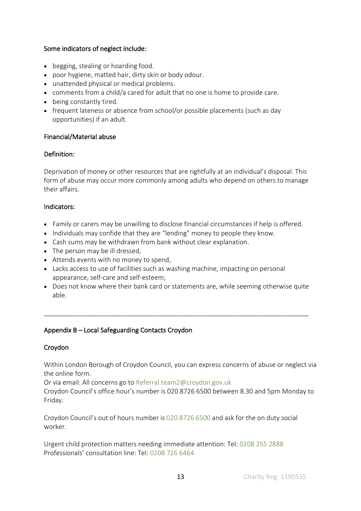## Some indicators of neglect include:

- begging, stealing or hoarding food.
- poor hygiene, matted hair, dirty skin or body odour.
- unattended physical or medical problems.
- comments from a child/a cared for adult that no one is home to provide care.
- being constantly tired.
- frequent lateness or absence from school/or possible placements (such as day opportunities) if an adult.

## Financial/Material abuse

# Definition:

Deprivation of money or other resources that are rightfully at an individual's disposal. This form of abuse may occur more commonly among adults who depend on others to manage their affairs.

## Indicators:

- Family or carers may be unwilling to disclose financial circumstances if help is offered.
- Individuals may confide that they are "lending" money to people they know.
- Cash sums may be withdrawn from bank without clear explanation.
- The person may be ill dressed,
- Attends events with no money to spend,
- Lacks access to use of facilities such as washing machine, impacting on personal appearance, self-care and self-esteem;
- Does not know where their bank card or statements are, while seeming otherwise quite able.

\_\_\_\_\_\_\_\_\_\_\_\_\_\_\_\_\_\_\_\_\_\_\_\_\_\_\_\_\_\_\_\_\_\_\_\_\_\_\_\_\_\_\_\_\_\_\_\_\_\_\_\_\_\_\_\_\_\_\_\_\_\_\_\_\_\_\_\_\_\_\_\_\_

# Appendix B – Local Safeguarding Contacts Croydon

# Croydon

Within London Borough of Croydon Council, you can express concerns of abuse or neglect via the online form.

Or via email: All concerns go to Referral.team2@croydon.gov.uk

Croydon Council's office hour's number is 020 8726 6500 between 8.30 and 5pm Monday to Friday.

Croydon Council's out of hours number is 020 8726 6500 and ask for the on duty social worker.

Urgent child protection matters needing immediate attention: Tel: 0208 255 2888 Professionals' consultation line: Tel: 0208 726 6464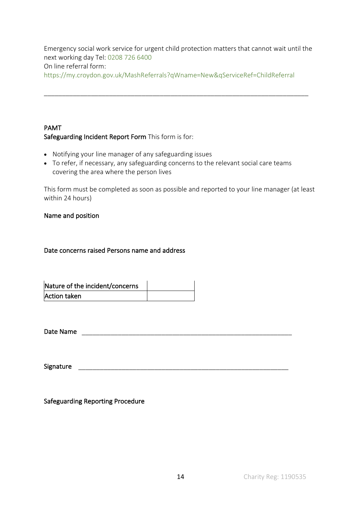Emergency social work service for urgent child protection matters that cannot wait until the next working day Tel: 0208 726 6400 On line referral form: https://my.croydon.gov.uk/MashReferrals?qWname=New&qServiceRef=ChildReferral

\_\_\_\_\_\_\_\_\_\_\_\_\_\_\_\_\_\_\_\_\_\_\_\_\_\_\_\_\_\_\_\_\_\_\_\_\_\_\_\_\_\_\_\_\_\_\_\_\_\_\_\_\_\_\_\_\_\_\_\_\_\_\_\_\_\_\_\_\_\_\_\_\_

# PAMT Safeguarding Incident Report Form This form is for:

- Notifying your line manager of any safeguarding issues
- To refer, if necessary, any safeguarding concerns to the relevant social care teams covering the area where the person lives

This form must be completed as soon as possible and reported to your line manager (at least within 24 hours)

#### Name and position

## Date concerns raised Persons name and address

| Nature of the incident/concerns |  |
|---------------------------------|--|
| Action taken                    |  |

Date Name \_\_\_\_\_\_\_\_\_\_\_\_\_\_\_\_\_\_\_\_\_\_\_\_\_\_\_\_\_\_\_\_\_\_\_\_\_\_\_\_\_\_\_\_\_\_\_\_\_\_\_\_\_\_\_\_\_\_

Signature \_\_\_\_\_\_\_\_\_\_\_\_\_\_\_\_\_\_\_\_\_\_\_\_\_\_\_\_\_\_\_\_\_\_\_\_\_\_\_\_\_\_\_\_\_\_\_\_\_\_\_\_\_\_\_\_\_\_

Safeguarding Reporting Procedure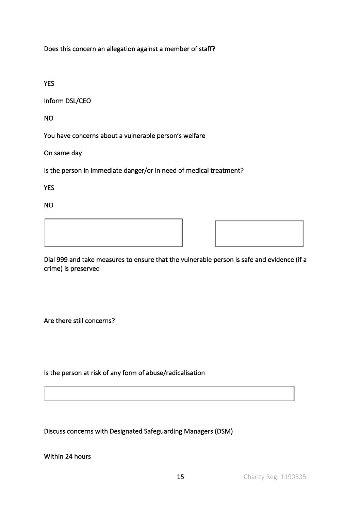Does this concern an allegation against a member of staff?

YES

Inform DSL/CEO

NO

You have concerns about a vulnerable person's welfare

On same day

Is the person in immediate danger/or in need of medical treatment?

YES

NO

Dial 999 and take measures to ensure that the vulnerable person is safe and evidence (if a crime) is preserved

Are there still concerns?

Is the person at risk of any form of abuse/radicalisation

Discuss concerns with Designated Safeguarding Managers (DSM)

Within 24 hours